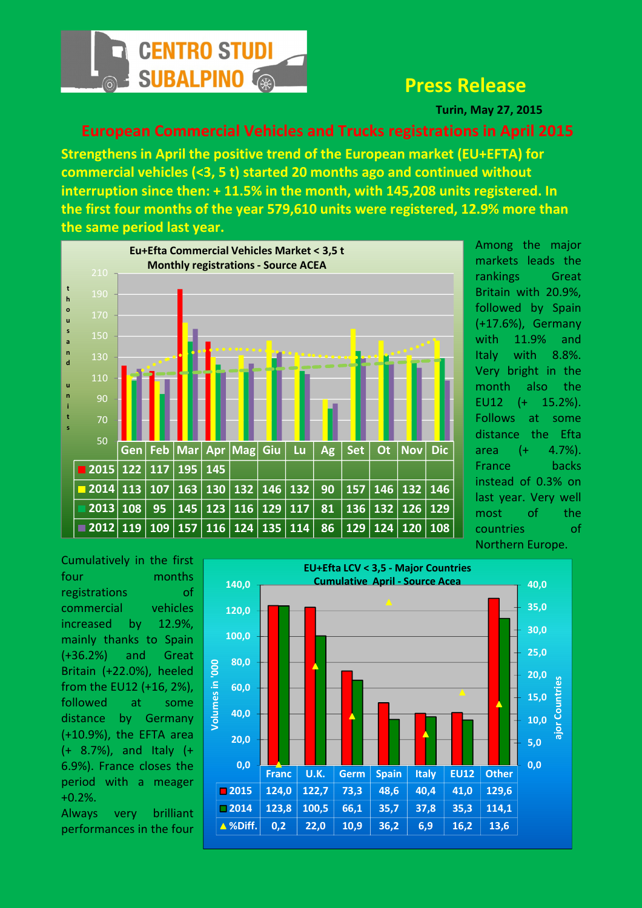

## Press Release

Turin, May 27, 2015

## European Commercial Vehicles and Trucks registrations in April 2015

Strengthens in April the positive trend of the European market (EU+EFTA) for commercial vehicles (<3, 5 t) started 20 months ago and continued without interruption since then: + 11.5% in the month, with 145,208 units registered. In the first four months of the year 579,610 units were registered, 12.9% more than the same period last year.



Among the major markets leads the rankings Great Britain with 20.9%, followed by Spain (+17.6%), Germany with 11.9% and Italy with 8.8%. Very bright in the month also the EU12 (+ 15.2%). Follows at some distance the Efta area (+ 4.7%). France backs instead of 0.3% on last year. Very well most of the countries of Northern Europe.

Cumulatively in the first four months registrations of commercial vehicles increased by 12.9%, mainly thanks to Spain (+36.2%) and Great Britain (+22.0%), heeled from the EU12 (+16, 2%), followed at some distance by Germany (+10.9%), the EFTA area (+ 8.7%), and Italy (+ 6.9%). France closes the period with a meager +0.2%.

Always very brilliant performances in the four

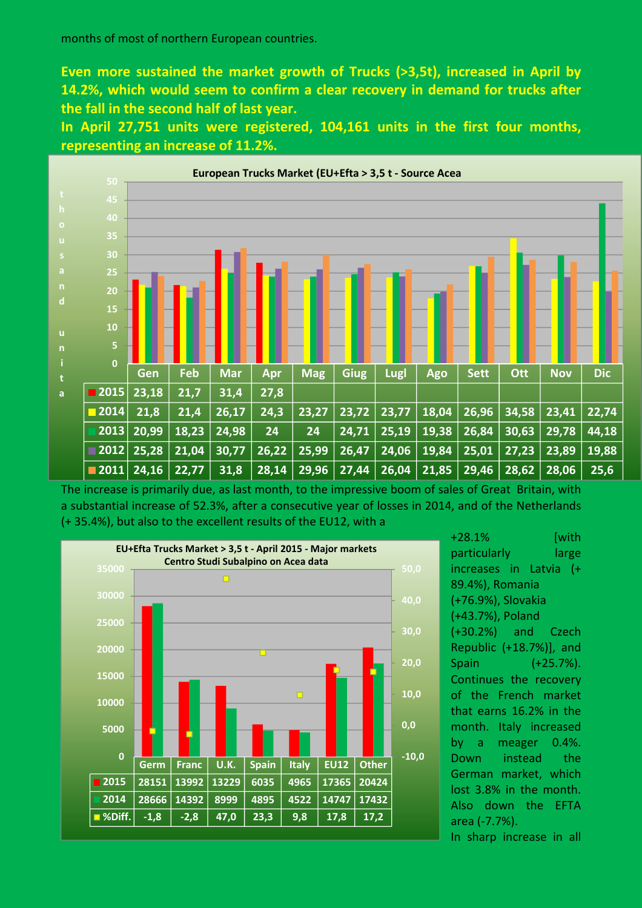Even more sustained the market growth of Trucks (>3,5t), increased in April by 14.2%, which would seem to confirm a clear recovery in demand for trucks after the fall in the second half of last year.

In April 27,751 units were registered, 104,161 units in the first four months, representing an increase of 11.2%.



The increase is primarily due, as last month, to the impressive boom of sales of Great Britain, with a substantial increase of 52.3%, after a consecutive year of losses in 2014, and of the Netherlands (+ 35.4%), but also to the excellent results of the EU12, with a



+28.1% [with particularly large increases in Latvia (+ 89.4%), Romania (+76.9%), Slovakia (+43.7%), Poland (+30.2%) and Czech Republic (+18.7%)], and Spain (+25.7%). Continues the recovery of the French market that earns 16.2% in the month. Italy increased by a meager 0.4%. Down instead the German market, which lost 3.8% in the month. Also down the EFTA area (-7.7%).

In sharp increase in all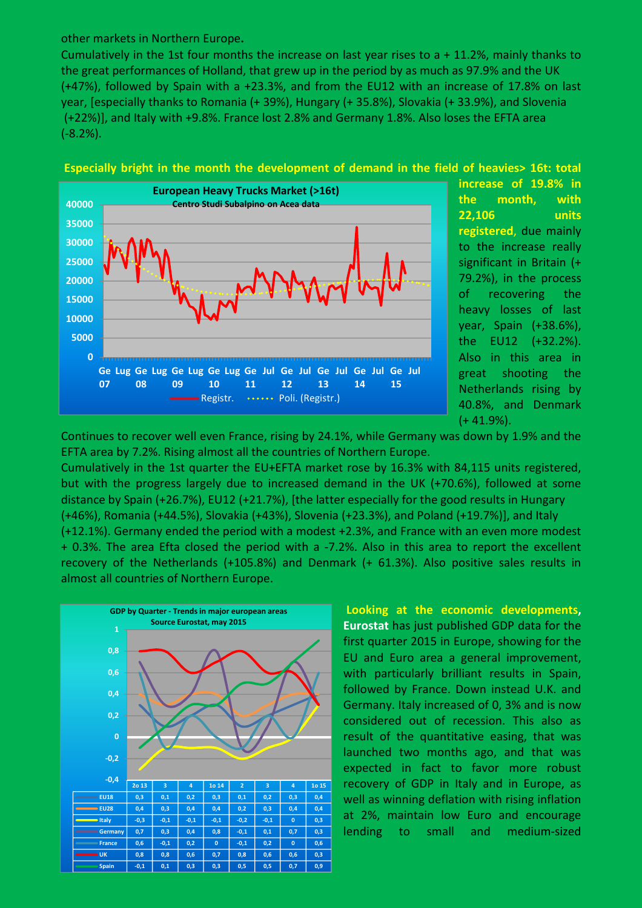other markets in Northern Europe.

Cumulatively in the 1st four months the increase on last year rises to a + 11.2%, mainly thanks to the great performances of Holland, that grew up in the period by as much as 97.9% and the UK (+47%), followed by Spain with a +23.3%, and from the EU12 with an increase of 17.8% on last year, [especially thanks to Romania (+ 39%), Hungary (+ 35.8%), Slovakia (+ 33.9%), and Slovenia (+22%)], and Italy with +9.8%. France lost 2.8% and Germany 1.8%. Also loses the EFTA area (-8.2%).





increase of 19.8% in the month, with 22,106 units registered, due mainly to the increase really significant in Britain (+ 79.2%), in the process of recovering the heavy losses of last year, Spain (+38.6%), the EU12 (+32.2%). Also in this area in great shooting the Netherlands rising by 40.8%, and Denmark  $(+ 41.9\%)$ .

Continues to recover well even France, rising by 24.1%, while Germany was down by 1.9% and the EFTA area by 7.2%. Rising almost all the countries of Northern Europe.

Cumulatively in the 1st quarter the EU+EFTA market rose by 16.3% with 84,115 units registered, but with the progress largely due to increased demand in the UK (+70.6%), followed at some distance by Spain (+26.7%), EU12 (+21.7%), [the latter especially for the good results in Hungary (+46%), Romania (+44.5%), Slovakia (+43%), Slovenia (+23.3%), and Poland (+19.7%)], and Italy (+12.1%). Germany ended the period with a modest +2.3%, and France with an even more modest + 0.3%. The area Efta closed the period with a -7.2%. Also in this area to report the excellent recovery of the Netherlands (+105.8%) and Denmark (+ 61.3%). Also positive sales results in almost all countries of Northern Europe.



 Looking at the economic developments, Eurostat has just published GDP data for the first quarter 2015 in Europe, showing for the EU and Euro area a general improvement, with particularly brilliant results in Spain, followed by France. Down instead U.K. and Germany. Italy increased of 0, 3% and is now considered out of recession. This also as result of the quantitative easing, that was launched two months ago, and that was expected in fact to favor more robust recovery of GDP in Italy and in Europe, as well as winning deflation with rising inflation at 2%, maintain low Euro and encourage lending to small and medium-sized